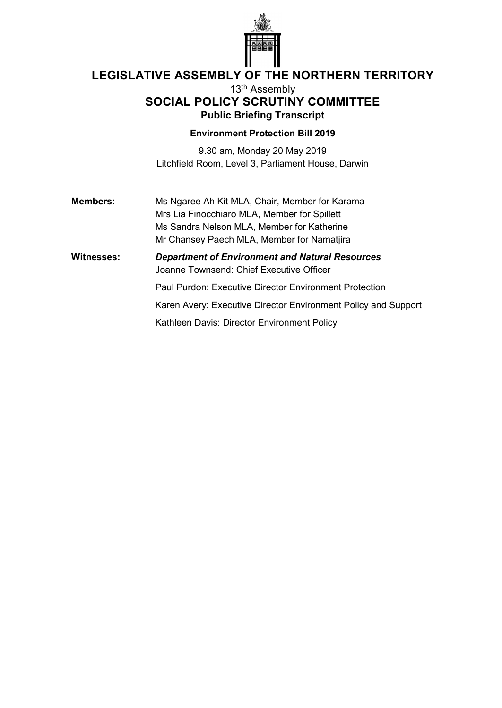

# **LEGISLATIVE ASSEMBLY OF THE NORTHERN TERRITORY**

## 13th Assembly **SOCIAL POLICY SCRUTINY COMMITTEE Public Briefing Transcript**

### **Environment Protection Bill 2019**

9.30 am, Monday 20 May 2019 Litchfield Room, Level 3, Parliament House, Darwin

**Members:** Ms Ngaree Ah Kit MLA, Chair, Member for Karama Mrs Lia Finocchiaro MLA, Member for Spillett Ms Sandra Nelson MLA, Member for Katherine Mr Chansey Paech MLA, Member for Namatjira

**Witnesses:** *Department of Environment and Natural Resources* Joanne Townsend: Chief Executive Officer

Paul Purdon: Executive Director Environment Protection

Karen Avery: Executive Director Environment Policy and Support

Kathleen Davis: Director Environment Policy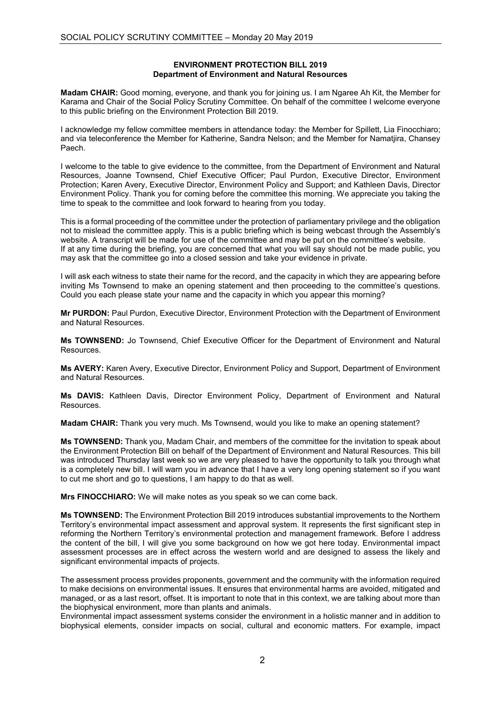#### **ENVIRONMENT PROTECTION BILL 2019 Department of Environment and Natural Resources**

**Madam CHAIR:** Good morning, everyone, and thank you for joining us. I am Ngaree Ah Kit, the Member for Karama and Chair of the Social Policy Scrutiny Committee. On behalf of the committee I welcome everyone to this public briefing on the Environment Protection Bill 2019.

I acknowledge my fellow committee members in attendance today: the Member for Spillett, Lia Finocchiaro; and via teleconference the Member for Katherine, Sandra Nelson; and the Member for Namatjira, Chansey Paech.

I welcome to the table to give evidence to the committee, from the Department of Environment and Natural Resources, Joanne Townsend, Chief Executive Officer; Paul Purdon, Executive Director, Environment Protection; Karen Avery, Executive Director, Environment Policy and Support; and Kathleen Davis, Director Environment Policy. Thank you for coming before the committee this morning. We appreciate you taking the time to speak to the committee and look forward to hearing from you today.

This is a formal proceeding of the committee under the protection of parliamentary privilege and the obligation not to mislead the committee apply. This is a public briefing which is being webcast through the Assembly's website. A transcript will be made for use of the committee and may be put on the committee's website. If at any time during the briefing, you are concerned that what you will say should not be made public, you may ask that the committee go into a closed session and take your evidence in private.

I will ask each witness to state their name for the record, and the capacity in which they are appearing before inviting Ms Townsend to make an opening statement and then proceeding to the committee's questions. Could you each please state your name and the capacity in which you appear this morning?

**Mr PURDON:** Paul Purdon, Executive Director, Environment Protection with the Department of Environment and Natural Resources.

**Ms TOWNSEND:** Jo Townsend, Chief Executive Officer for the Department of Environment and Natural Resources.

**Ms AVERY:** Karen Avery, Executive Director, Environment Policy and Support, Department of Environment and Natural Resources.

**Ms DAVIS:** Kathleen Davis, Director Environment Policy, Department of Environment and Natural Resources.

**Madam CHAIR:** Thank you very much. Ms Townsend, would you like to make an opening statement?

**Ms TOWNSEND:** Thank you, Madam Chair, and members of the committee for the invitation to speak about the Environment Protection Bill on behalf of the Department of Environment and Natural Resources. This bill was introduced Thursday last week so we are very pleased to have the opportunity to talk you through what is a completely new bill. I will warn you in advance that I have a very long opening statement so if you want to cut me short and go to questions, I am happy to do that as well.

**Mrs FINOCCHIARO:** We will make notes as you speak so we can come back.

**Ms TOWNSEND:** The Environment Protection Bill 2019 introduces substantial improvements to the Northern Territory's environmental impact assessment and approval system. It represents the first significant step in reforming the Northern Territory's environmental protection and management framework. Before I address the content of the bill, I will give you some background on how we got here today. Environmental impact assessment processes are in effect across the western world and are designed to assess the likely and significant environmental impacts of projects.

The assessment process provides proponents, government and the community with the information required to make decisions on environmental issues. It ensures that environmental harms are avoided, mitigated and managed, or as a last resort, offset. It is important to note that in this context, we are talking about more than the biophysical environment, more than plants and animals.

Environmental impact assessment systems consider the environment in a holistic manner and in addition to biophysical elements, consider impacts on social, cultural and economic matters. For example, impact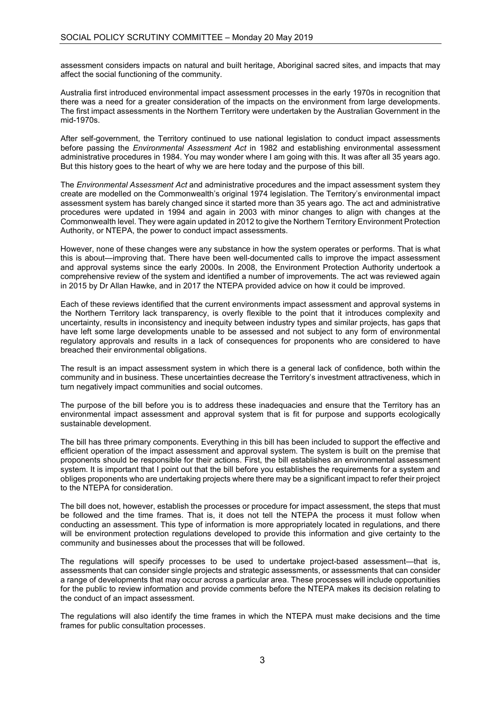assessment considers impacts on natural and built heritage, Aboriginal sacred sites, and impacts that may affect the social functioning of the community.

Australia first introduced environmental impact assessment processes in the early 1970s in recognition that there was a need for a greater consideration of the impacts on the environment from large developments. The first impact assessments in the Northern Territory were undertaken by the Australian Government in the mid-1970s.

After self-government, the Territory continued to use national legislation to conduct impact assessments before passing the *Environmental Assessment Act* in 1982 and establishing environmental assessment administrative procedures in 1984. You may wonder where I am going with this. It was after all 35 years ago. But this history goes to the heart of why we are here today and the purpose of this bill.

The *Environmental Assessment Act* and administrative procedures and the impact assessment system they create are modelled on the Commonwealth's original 1974 legislation. The Territory's environmental impact assessment system has barely changed since it started more than 35 years ago. The act and administrative procedures were updated in 1994 and again in 2003 with minor changes to align with changes at the Commonwealth level. They were again updated in 2012 to give the Northern Territory Environment Protection Authority, or NTEPA, the power to conduct impact assessments.

However, none of these changes were any substance in how the system operates or performs. That is what this is about—improving that. There have been well-documented calls to improve the impact assessment and approval systems since the early 2000s. In 2008, the Environment Protection Authority undertook a comprehensive review of the system and identified a number of improvements. The act was reviewed again in 2015 by Dr Allan Hawke, and in 2017 the NTEPA provided advice on how it could be improved.

Each of these reviews identified that the current environments impact assessment and approval systems in the Northern Territory lack transparency, is overly flexible to the point that it introduces complexity and uncertainty, results in inconsistency and inequity between industry types and similar projects, has gaps that have left some large developments unable to be assessed and not subject to any form of environmental regulatory approvals and results in a lack of consequences for proponents who are considered to have breached their environmental obligations.

The result is an impact assessment system in which there is a general lack of confidence, both within the community and in business. These uncertainties decrease the Territory's investment attractiveness, which in turn negatively impact communities and social outcomes.

The purpose of the bill before you is to address these inadequacies and ensure that the Territory has an environmental impact assessment and approval system that is fit for purpose and supports ecologically sustainable development.

The bill has three primary components. Everything in this bill has been included to support the effective and efficient operation of the impact assessment and approval system. The system is built on the premise that proponents should be responsible for their actions. First, the bill establishes an environmental assessment system. It is important that I point out that the bill before you establishes the requirements for a system and obliges proponents who are undertaking projects where there may be a significant impact to refer their project to the NTEPA for consideration.

The bill does not, however, establish the processes or procedure for impact assessment, the steps that must be followed and the time frames. That is, it does not tell the NTEPA the process it must follow when conducting an assessment. This type of information is more appropriately located in regulations, and there will be environment protection regulations developed to provide this information and give certainty to the community and businesses about the processes that will be followed.

The regulations will specify processes to be used to undertake project-based assessment—that is, assessments that can consider single projects and strategic assessments, or assessments that can consider a range of developments that may occur across a particular area. These processes will include opportunities for the public to review information and provide comments before the NTEPA makes its decision relating to the conduct of an impact assessment.

The regulations will also identify the time frames in which the NTEPA must make decisions and the time frames for public consultation processes.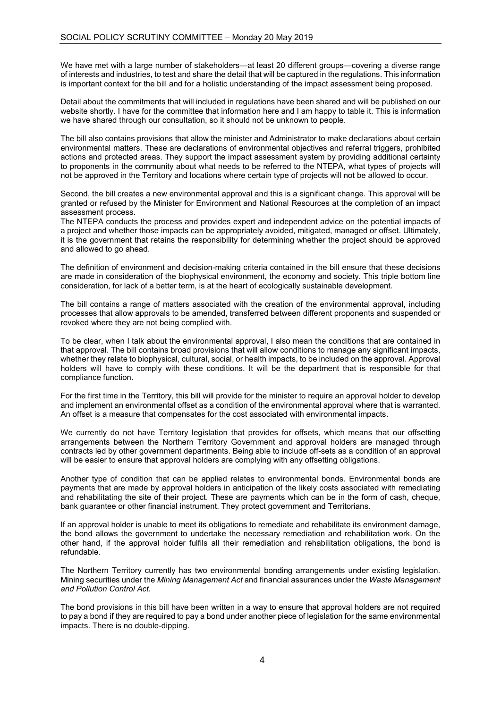We have met with a large number of stakeholders—at least 20 different groups—covering a diverse range of interests and industries, to test and share the detail that will be captured in the regulations. This information is important context for the bill and for a holistic understanding of the impact assessment being proposed.

Detail about the commitments that will included in regulations have been shared and will be published on our website shortly. I have for the committee that information here and I am happy to table it. This is information we have shared through our consultation, so it should not be unknown to people.

The bill also contains provisions that allow the minister and Administrator to make declarations about certain environmental matters. These are declarations of environmental objectives and referral triggers, prohibited actions and protected areas. They support the impact assessment system by providing additional certainty to proponents in the community about what needs to be referred to the NTEPA, what types of projects will not be approved in the Territory and locations where certain type of projects will not be allowed to occur.

Second, the bill creates a new environmental approval and this is a significant change. This approval will be granted or refused by the Minister for Environment and National Resources at the completion of an impact assessment process.

The NTEPA conducts the process and provides expert and independent advice on the potential impacts of a project and whether those impacts can be appropriately avoided, mitigated, managed or offset. Ultimately, it is the government that retains the responsibility for determining whether the project should be approved and allowed to go ahead.

The definition of environment and decision-making criteria contained in the bill ensure that these decisions are made in consideration of the biophysical environment, the economy and society. This triple bottom line consideration, for lack of a better term, is at the heart of ecologically sustainable development.

The bill contains a range of matters associated with the creation of the environmental approval, including processes that allow approvals to be amended, transferred between different proponents and suspended or revoked where they are not being complied with.

To be clear, when I talk about the environmental approval, I also mean the conditions that are contained in that approval. The bill contains broad provisions that will allow conditions to manage any significant impacts, whether they relate to biophysical, cultural, social, or health impacts, to be included on the approval. Approval holders will have to comply with these conditions. It will be the department that is responsible for that compliance function.

For the first time in the Territory, this bill will provide for the minister to require an approval holder to develop and implement an environmental offset as a condition of the environmental approval where that is warranted. An offset is a measure that compensates for the cost associated with environmental impacts.

We currently do not have Territory legislation that provides for offsets, which means that our offsetting arrangements between the Northern Territory Government and approval holders are managed through contracts led by other government departments. Being able to include off-sets as a condition of an approval will be easier to ensure that approval holders are complying with any offsetting obligations.

Another type of condition that can be applied relates to environmental bonds. Environmental bonds are payments that are made by approval holders in anticipation of the likely costs associated with remediating and rehabilitating the site of their project. These are payments which can be in the form of cash, cheque, bank guarantee or other financial instrument. They protect government and Territorians.

If an approval holder is unable to meet its obligations to remediate and rehabilitate its environment damage, the bond allows the government to undertake the necessary remediation and rehabilitation work. On the other hand, if the approval holder fulfils all their remediation and rehabilitation obligations, the bond is refundable.

The Northern Territory currently has two environmental bonding arrangements under existing legislation. Mining securities under the *Mining Management Act* and financial assurances under the *Waste Management and Pollution Control Act*.

The bond provisions in this bill have been written in a way to ensure that approval holders are not required to pay a bond if they are required to pay a bond under another piece of legislation for the same environmental impacts. There is no double-dipping.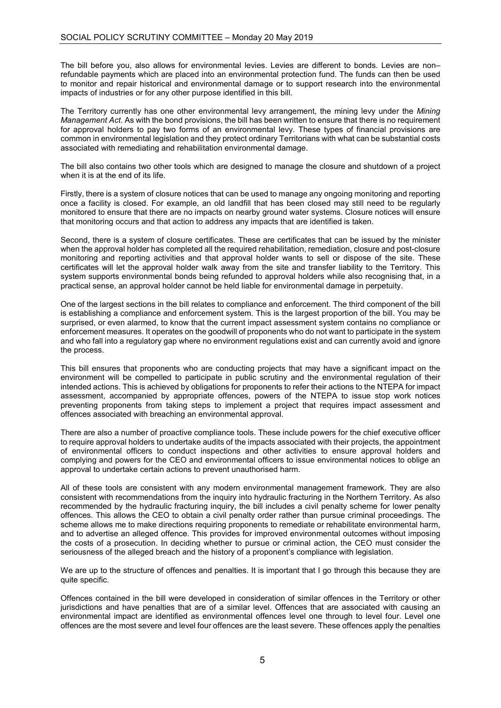The bill before you, also allows for environmental levies. Levies are different to bonds. Levies are non– refundable payments which are placed into an environmental protection fund. The funds can then be used to monitor and repair historical and environmental damage or to support research into the environmental impacts of industries or for any other purpose identified in this bill.

The Territory currently has one other environmental levy arrangement, the mining levy under the *Mining Management Act*. As with the bond provisions, the bill has been written to ensure that there is no requirement for approval holders to pay two forms of an environmental levy. These types of financial provisions are common in environmental legislation and they protect ordinary Territorians with what can be substantial costs associated with remediating and rehabilitation environmental damage.

The bill also contains two other tools which are designed to manage the closure and shutdown of a project when it is at the end of its life.

Firstly, there is a system of closure notices that can be used to manage any ongoing monitoring and reporting once a facility is closed. For example, an old landfill that has been closed may still need to be regularly monitored to ensure that there are no impacts on nearby ground water systems. Closure notices will ensure that monitoring occurs and that action to address any impacts that are identified is taken.

Second, there is a system of closure certificates. These are certificates that can be issued by the minister when the approval holder has completed all the required rehabilitation, remediation, closure and post-closure monitoring and reporting activities and that approval holder wants to sell or dispose of the site. These certificates will let the approval holder walk away from the site and transfer liability to the Territory. This system supports environmental bonds being refunded to approval holders while also recognising that, in a practical sense, an approval holder cannot be held liable for environmental damage in perpetuity.

One of the largest sections in the bill relates to compliance and enforcement. The third component of the bill is establishing a compliance and enforcement system. This is the largest proportion of the bill. You may be surprised, or even alarmed, to know that the current impact assessment system contains no compliance or enforcement measures. It operates on the goodwill of proponents who do not want to participate in the system and who fall into a regulatory gap where no environment regulations exist and can currently avoid and ignore the process.

This bill ensures that proponents who are conducting projects that may have a significant impact on the environment will be compelled to participate in public scrutiny and the environmental regulation of their intended actions. This is achieved by obligations for proponents to refer their actions to the NTEPA for impact assessment, accompanied by appropriate offences, powers of the NTEPA to issue stop work notices preventing proponents from taking steps to implement a project that requires impact assessment and offences associated with breaching an environmental approval.

There are also a number of proactive compliance tools. These include powers for the chief executive officer to require approval holders to undertake audits of the impacts associated with their projects, the appointment of environmental officers to conduct inspections and other activities to ensure approval holders and complying and powers for the CEO and environmental officers to issue environmental notices to oblige an approval to undertake certain actions to prevent unauthorised harm.

All of these tools are consistent with any modern environmental management framework. They are also consistent with recommendations from the inquiry into hydraulic fracturing in the Northern Territory. As also recommended by the hydraulic fracturing inquiry, the bill includes a civil penalty scheme for lower penalty offences. This allows the CEO to obtain a civil penalty order rather than pursue criminal proceedings. The scheme allows me to make directions requiring proponents to remediate or rehabilitate environmental harm, and to advertise an alleged offence. This provides for improved environmental outcomes without imposing the costs of a prosecution. In deciding whether to pursue or criminal action, the CEO must consider the seriousness of the alleged breach and the history of a proponent's compliance with legislation.

We are up to the structure of offences and penalties. It is important that I go through this because they are quite specific.

Offences contained in the bill were developed in consideration of similar offences in the Territory or other jurisdictions and have penalties that are of a similar level. Offences that are associated with causing an environmental impact are identified as environmental offences level one through to level four. Level one offences are the most severe and level four offences are the least severe. These offences apply the penalties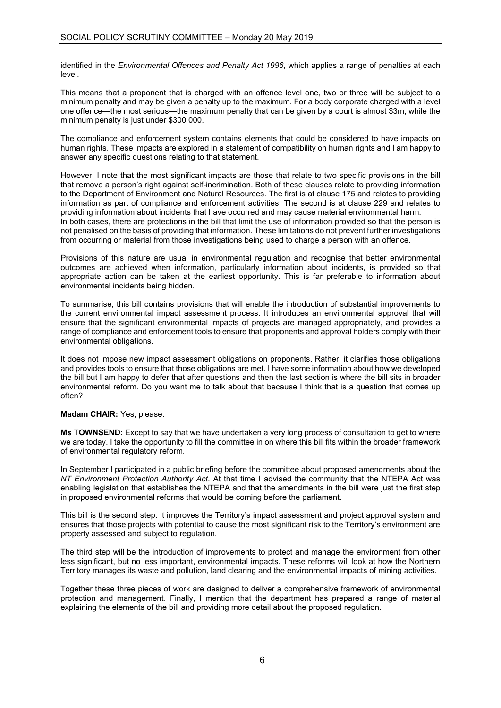identified in the *Environmental Offences and Penalty Act 1996*, which applies a range of penalties at each level.

This means that a proponent that is charged with an offence level one, two or three will be subject to a minimum penalty and may be given a penalty up to the maximum. For a body corporate charged with a level one offence—the most serious—the maximum penalty that can be given by a court is almost \$3m, while the minimum penalty is just under \$300 000.

The compliance and enforcement system contains elements that could be considered to have impacts on human rights. These impacts are explored in a statement of compatibility on human rights and I am happy to answer any specific questions relating to that statement.

However, I note that the most significant impacts are those that relate to two specific provisions in the bill that remove a person's right against self-incrimination. Both of these clauses relate to providing information to the Department of Environment and Natural Resources. The first is at clause 175 and relates to providing information as part of compliance and enforcement activities. The second is at clause 229 and relates to providing information about incidents that have occurred and may cause material environmental harm. In both cases, there are protections in the bill that limit the use of information provided so that the person is not penalised on the basis of providing that information. These limitations do not prevent further investigations from occurring or material from those investigations being used to charge a person with an offence.

Provisions of this nature are usual in environmental regulation and recognise that better environmental outcomes are achieved when information, particularly information about incidents, is provided so that appropriate action can be taken at the earliest opportunity. This is far preferable to information about environmental incidents being hidden.

To summarise, this bill contains provisions that will enable the introduction of substantial improvements to the current environmental impact assessment process. It introduces an environmental approval that will ensure that the significant environmental impacts of projects are managed appropriately, and provides a range of compliance and enforcement tools to ensure that proponents and approval holders comply with their environmental obligations.

It does not impose new impact assessment obligations on proponents. Rather, it clarifies those obligations and provides tools to ensure that those obligations are met. I have some information about how we developed the bill but I am happy to defer that after questions and then the last section is where the bill sits in broader environmental reform. Do you want me to talk about that because I think that is a question that comes up often?

#### **Madam CHAIR:** Yes, please.

**Ms TOWNSEND:** Except to say that we have undertaken a very long process of consultation to get to where we are today. I take the opportunity to fill the committee in on where this bill fits within the broader framework of environmental regulatory reform.

In September I participated in a public briefing before the committee about proposed amendments about the *NT Environment Protection Authority Act*. At that time I advised the community that the NTEPA Act was enabling legislation that establishes the NTEPA and that the amendments in the bill were just the first step in proposed environmental reforms that would be coming before the parliament.

This bill is the second step. It improves the Territory's impact assessment and project approval system and ensures that those projects with potential to cause the most significant risk to the Territory's environment are properly assessed and subject to regulation.

The third step will be the introduction of improvements to protect and manage the environment from other less significant, but no less important, environmental impacts. These reforms will look at how the Northern Territory manages its waste and pollution, land clearing and the environmental impacts of mining activities.

Together these three pieces of work are designed to deliver a comprehensive framework of environmental protection and management. Finally, I mention that the department has prepared a range of material explaining the elements of the bill and providing more detail about the proposed regulation.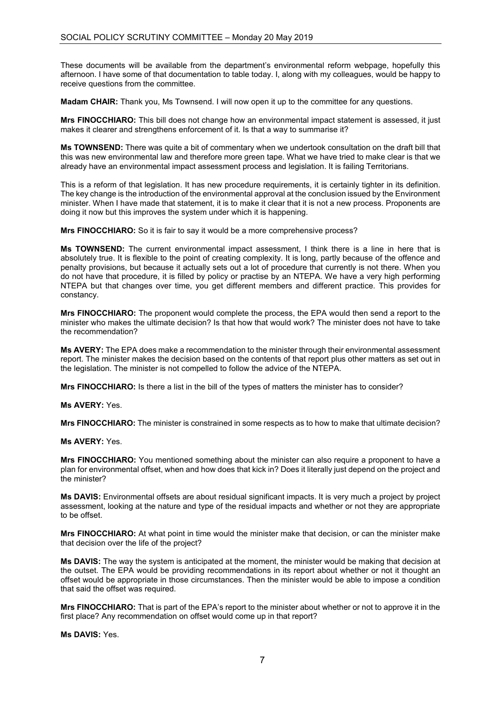These documents will be available from the department's environmental reform webpage, hopefully this afternoon. I have some of that documentation to table today. I, along with my colleagues, would be happy to receive questions from the committee.

**Madam CHAIR:** Thank you, Ms Townsend. I will now open it up to the committee for any questions.

**Mrs FINOCCHIARO:** This bill does not change how an environmental impact statement is assessed, it just makes it clearer and strengthens enforcement of it. Is that a way to summarise it?

**Ms TOWNSEND:** There was quite a bit of commentary when we undertook consultation on the draft bill that this was new environmental law and therefore more green tape. What we have tried to make clear is that we already have an environmental impact assessment process and legislation. It is failing Territorians.

This is a reform of that legislation. It has new procedure requirements, it is certainly tighter in its definition. The key change is the introduction of the environmental approval at the conclusion issued by the Environment minister. When I have made that statement, it is to make it clear that it is not a new process. Proponents are doing it now but this improves the system under which it is happening.

**Mrs FINOCCHIARO:** So it is fair to say it would be a more comprehensive process?

**Ms TOWNSEND:** The current environmental impact assessment, I think there is a line in here that is absolutely true. It is flexible to the point of creating complexity. It is long, partly because of the offence and penalty provisions, but because it actually sets out a lot of procedure that currently is not there. When you do not have that procedure, it is filled by policy or practise by an NTEPA. We have a very high performing NTEPA but that changes over time, you get different members and different practice. This provides for constancy.

**Mrs FINOCCHIARO:** The proponent would complete the process, the EPA would then send a report to the minister who makes the ultimate decision? Is that how that would work? The minister does not have to take the recommendation?

**Ms AVERY:** The EPA does make a recommendation to the minister through their environmental assessment report. The minister makes the decision based on the contents of that report plus other matters as set out in the legislation. The minister is not compelled to follow the advice of the NTEPA.

**Mrs FINOCCHIARO:** Is there a list in the bill of the types of matters the minister has to consider?

**Ms AVERY:** Yes.

**Mrs FINOCCHIARO:** The minister is constrained in some respects as to how to make that ultimate decision?

**Ms AVERY:** Yes.

**Mrs FINOCCHIARO:** You mentioned something about the minister can also require a proponent to have a plan for environmental offset, when and how does that kick in? Does it literally just depend on the project and the minister?

**Ms DAVIS:** Environmental offsets are about residual significant impacts. It is very much a project by project assessment, looking at the nature and type of the residual impacts and whether or not they are appropriate to be offset.

**Mrs FINOCCHIARO:** At what point in time would the minister make that decision, or can the minister make that decision over the life of the project?

**Ms DAVIS:** The way the system is anticipated at the moment, the minister would be making that decision at the outset. The EPA would be providing recommendations in its report about whether or not it thought an offset would be appropriate in those circumstances. Then the minister would be able to impose a condition that said the offset was required.

**Mrs FINOCCHIARO:** That is part of the EPA's report to the minister about whether or not to approve it in the first place? Any recommendation on offset would come up in that report?

**Ms DAVIS:** Yes.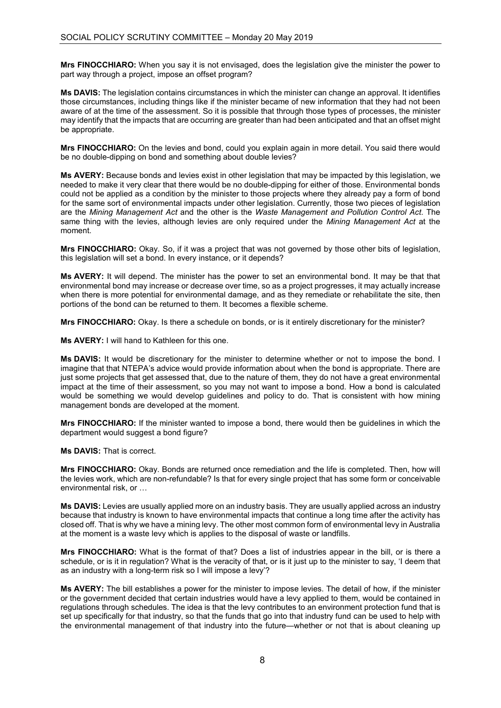**Mrs FINOCCHIARO:** When you say it is not envisaged, does the legislation give the minister the power to part way through a project, impose an offset program?

**Ms DAVIS:** The legislation contains circumstances in which the minister can change an approval. It identifies those circumstances, including things like if the minister became of new information that they had not been aware of at the time of the assessment. So it is possible that through those types of processes, the minister may identify that the impacts that are occurring are greater than had been anticipated and that an offset might be appropriate.

**Mrs FINOCCHIARO:** On the levies and bond, could you explain again in more detail. You said there would be no double-dipping on bond and something about double levies?

**Ms AVERY:** Because bonds and levies exist in other legislation that may be impacted by this legislation, we needed to make it very clear that there would be no double-dipping for either of those. Environmental bonds could not be applied as a condition by the minister to those projects where they already pay a form of bond for the same sort of environmental impacts under other legislation. Currently, those two pieces of legislation are the *Mining Management Act* and the other is the *Waste Management and Pollution Control Act*. The same thing with the levies, although levies are only required under the *Mining Management Act* at the moment.

**Mrs FINOCCHIARO:** Okay. So, if it was a project that was not governed by those other bits of legislation, this legislation will set a bond. In every instance, or it depends?

**Ms AVERY:** It will depend. The minister has the power to set an environmental bond. It may be that that environmental bond may increase or decrease over time, so as a project progresses, it may actually increase when there is more potential for environmental damage, and as they remediate or rehabilitate the site, then portions of the bond can be returned to them. It becomes a flexible scheme.

**Mrs FINOCCHIARO:** Okay. Is there a schedule on bonds, or is it entirely discretionary for the minister?

**Ms AVERY:** I will hand to Kathleen for this one.

**Ms DAVIS:** It would be discretionary for the minister to determine whether or not to impose the bond. I imagine that that NTEPA's advice would provide information about when the bond is appropriate. There are just some projects that get assessed that, due to the nature of them, they do not have a great environmental impact at the time of their assessment, so you may not want to impose a bond. How a bond is calculated would be something we would develop guidelines and policy to do. That is consistent with how mining management bonds are developed at the moment.

**Mrs FINOCCHIARO:** If the minister wanted to impose a bond, there would then be guidelines in which the department would suggest a bond figure?

**Ms DAVIS:** That is correct.

**Mrs FINOCCHIARO:** Okay. Bonds are returned once remediation and the life is completed. Then, how will the levies work, which are non-refundable? Is that for every single project that has some form or conceivable environmental risk, or …

**Ms DAVIS:** Levies are usually applied more on an industry basis. They are usually applied across an industry because that industry is known to have environmental impacts that continue a long time after the activity has closed off. That is why we have a mining levy. The other most common form of environmental levy in Australia at the moment is a waste levy which is applies to the disposal of waste or landfills.

**Mrs FINOCCHIARO:** What is the format of that? Does a list of industries appear in the bill, or is there a schedule, or is it in regulation? What is the veracity of that, or is it just up to the minister to say, 'I deem that as an industry with a long-term risk so I will impose a levy'?

**Ms AVERY:** The bill establishes a power for the minister to impose levies. The detail of how, if the minister or the government decided that certain industries would have a levy applied to them, would be contained in regulations through schedules. The idea is that the levy contributes to an environment protection fund that is set up specifically for that industry, so that the funds that go into that industry fund can be used to help with the environmental management of that industry into the future—whether or not that is about cleaning up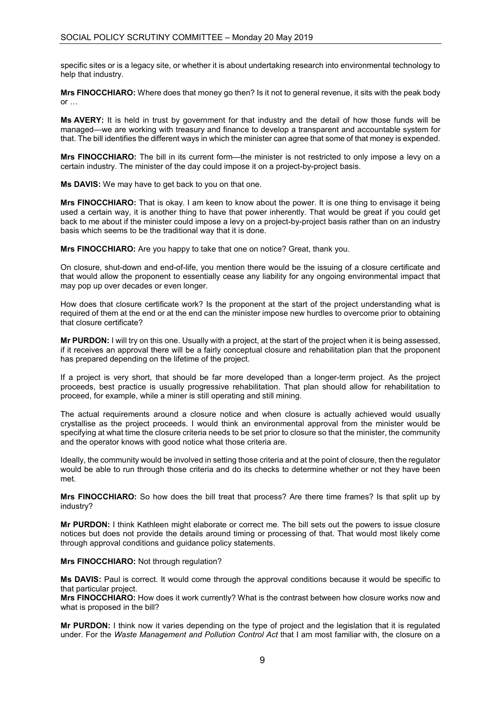specific sites or is a legacy site, or whether it is about undertaking research into environmental technology to help that industry.

**Mrs FINOCCHIARO:** Where does that money go then? Is it not to general revenue, it sits with the peak body  $\alpha$ r …

**Ms AVERY:** It is held in trust by government for that industry and the detail of how those funds will be managed—we are working with treasury and finance to develop a transparent and accountable system for that. The bill identifies the different ways in which the minister can agree that some of that money is expended.

**Mrs FINOCCHIARO:** The bill in its current form—the minister is not restricted to only impose a levy on a certain industry. The minister of the day could impose it on a project-by-project basis.

**Ms DAVIS:** We may have to get back to you on that one.

**Mrs FINOCCHIARO:** That is okay. I am keen to know about the power. It is one thing to envisage it being used a certain way, it is another thing to have that power inherently. That would be great if you could get back to me about if the minister could impose a levy on a project-by-project basis rather than on an industry basis which seems to be the traditional way that it is done.

**Mrs FINOCCHIARO:** Are you happy to take that one on notice? Great, thank you.

On closure, shut-down and end-of-life, you mention there would be the issuing of a closure certificate and that would allow the proponent to essentially cease any liability for any ongoing environmental impact that may pop up over decades or even longer.

How does that closure certificate work? Is the proponent at the start of the project understanding what is required of them at the end or at the end can the minister impose new hurdles to overcome prior to obtaining that closure certificate?

**Mr PURDON:** I will try on this one. Usually with a project, at the start of the project when it is being assessed, if it receives an approval there will be a fairly conceptual closure and rehabilitation plan that the proponent has prepared depending on the lifetime of the project.

If a project is very short, that should be far more developed than a longer-term project. As the project proceeds, best practice is usually progressive rehabilitation. That plan should allow for rehabilitation to proceed, for example, while a miner is still operating and still mining.

The actual requirements around a closure notice and when closure is actually achieved would usually crystallise as the project proceeds. I would think an environmental approval from the minister would be specifying at what time the closure criteria needs to be set prior to closure so that the minister, the community and the operator knows with good notice what those criteria are.

Ideally, the community would be involved in setting those criteria and at the point of closure, then the regulator would be able to run through those criteria and do its checks to determine whether or not they have been met.

**Mrs FINOCCHIARO:** So how does the bill treat that process? Are there time frames? Is that split up by industry?

**Mr PURDON:** I think Kathleen might elaborate or correct me. The bill sets out the powers to issue closure notices but does not provide the details around timing or processing of that. That would most likely come through approval conditions and guidance policy statements.

#### **Mrs FINOCCHIARO:** Not through regulation?

**Ms DAVIS:** Paul is correct. It would come through the approval conditions because it would be specific to that particular project.

**Mrs FINOCCHIARO:** How does it work currently? What is the contrast between how closure works now and what is proposed in the bill?

**Mr PURDON:** I think now it varies depending on the type of project and the legislation that it is regulated under. For the *Waste Management and Pollution Control Act* that I am most familiar with, the closure on a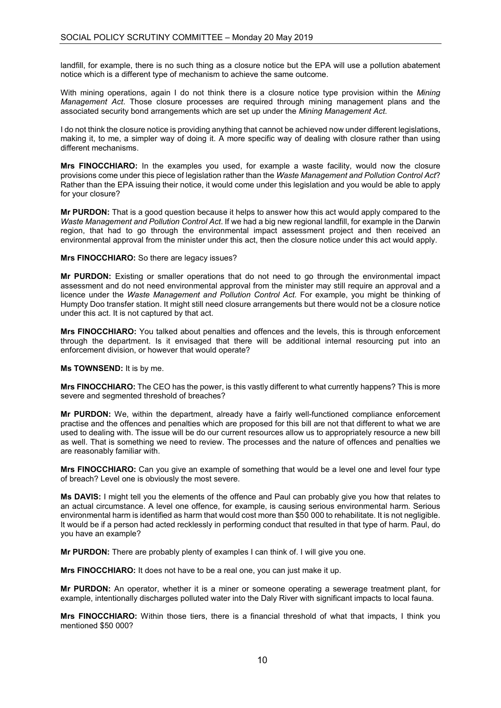landfill, for example, there is no such thing as a closure notice but the EPA will use a pollution abatement notice which is a different type of mechanism to achieve the same outcome.

With mining operations, again I do not think there is a closure notice type provision within the *Mining Management Act*. Those closure processes are required through mining management plans and the associated security bond arrangements which are set up under the *Mining Management Act*.

I do not think the closure notice is providing anything that cannot be achieved now under different legislations, making it, to me, a simpler way of doing it. A more specific way of dealing with closure rather than using different mechanisms.

**Mrs FINOCCHIARO:** In the examples you used, for example a waste facility, would now the closure provisions come under this piece of legislation rather than the *Waste Management and Pollution Control Act*? Rather than the EPA issuing their notice, it would come under this legislation and you would be able to apply for your closure?

**Mr PURDON:** That is a good question because it helps to answer how this act would apply compared to the *Waste Management and Pollution Control Act*. If we had a big new regional landfill, for example in the Darwin region, that had to go through the environmental impact assessment project and then received an environmental approval from the minister under this act, then the closure notice under this act would apply.

#### **Mrs FINOCCHIARO:** So there are legacy issues?

**Mr PURDON:** Existing or smaller operations that do not need to go through the environmental impact assessment and do not need environmental approval from the minister may still require an approval and a licence under the *Waste Management and Pollution Control Act.* For example, you might be thinking of Humpty Doo transfer station. It might still need closure arrangements but there would not be a closure notice under this act. It is not captured by that act.

**Mrs FINOCCHIARO:** You talked about penalties and offences and the levels, this is through enforcement through the department. Is it envisaged that there will be additional internal resourcing put into an enforcement division, or however that would operate?

**Ms TOWNSEND:** It is by me.

**Mrs FINOCCHIARO:** The CEO has the power, is this vastly different to what currently happens? This is more severe and segmented threshold of breaches?

**Mr PURDON:** We, within the department, already have a fairly well-functioned compliance enforcement practise and the offences and penalties which are proposed for this bill are not that different to what we are used to dealing with. The issue will be do our current resources allow us to appropriately resource a new bill as well. That is something we need to review. The processes and the nature of offences and penalties we are reasonably familiar with.

**Mrs FINOCCHIARO:** Can you give an example of something that would be a level one and level four type of breach? Level one is obviously the most severe.

**Ms DAVIS:** I might tell you the elements of the offence and Paul can probably give you how that relates to an actual circumstance. A level one offence, for example, is causing serious environmental harm. Serious environmental harm is identified as harm that would cost more than \$50 000 to rehabilitate. It is not negligible. It would be if a person had acted recklessly in performing conduct that resulted in that type of harm. Paul, do you have an example?

**Mr PURDON:** There are probably plenty of examples I can think of. I will give you one.

**Mrs FINOCCHIARO:** It does not have to be a real one, you can just make it up.

**Mr PURDON:** An operator, whether it is a miner or someone operating a sewerage treatment plant, for example, intentionally discharges polluted water into the Daly River with significant impacts to local fauna.

**Mrs FINOCCHIARO:** Within those tiers, there is a financial threshold of what that impacts, I think you mentioned \$50 000?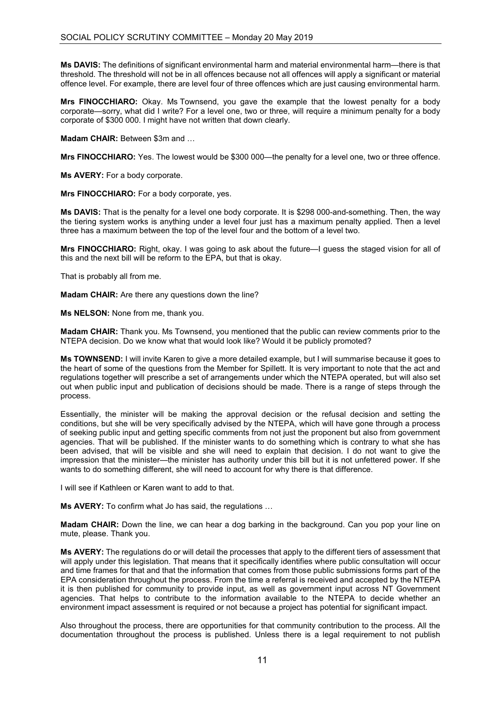**Ms DAVIS:** The definitions of significant environmental harm and material environmental harm—there is that threshold. The threshold will not be in all offences because not all offences will apply a significant or material offence level. For example, there are level four of three offences which are just causing environmental harm.

**Mrs FINOCCHIARO:** Okay. Ms Townsend, you gave the example that the lowest penalty for a body corporate—sorry, what did I write? For a level one, two or three, will require a minimum penalty for a body corporate of \$300 000. I might have not written that down clearly.

**Madam CHAIR:** Between \$3m and …

**Mrs FINOCCHIARO:** Yes. The lowest would be \$300 000—the penalty for a level one, two or three offence.

**Ms AVERY:** For a body corporate.

**Mrs FINOCCHIARO:** For a body corporate, yes.

**Ms DAVIS:** That is the penalty for a level one body corporate. It is \$298 000-and-something. Then, the way the tiering system works is anything under a level four just has a maximum penalty applied. Then a level three has a maximum between the top of the level four and the bottom of a level two.

**Mrs FINOCCHIARO:** Right, okay. I was going to ask about the future—I guess the staged vision for all of this and the next bill will be reform to the EPA, but that is okay.

That is probably all from me.

**Madam CHAIR:** Are there any questions down the line?

**Ms NELSON:** None from me, thank you.

**Madam CHAIR:** Thank you. Ms Townsend, you mentioned that the public can review comments prior to the NTEPA decision. Do we know what that would look like? Would it be publicly promoted?

**Ms TOWNSEND:** I will invite Karen to give a more detailed example, but I will summarise because it goes to the heart of some of the questions from the Member for Spillett. It is very important to note that the act and regulations together will prescribe a set of arrangements under which the NTEPA operated, but will also set out when public input and publication of decisions should be made. There is a range of steps through the process.

Essentially, the minister will be making the approval decision or the refusal decision and setting the conditions, but she will be very specifically advised by the NTEPA, which will have gone through a process of seeking public input and getting specific comments from not just the proponent but also from government agencies. That will be published. If the minister wants to do something which is contrary to what she has been advised, that will be visible and she will need to explain that decision. I do not want to give the impression that the minister—the minister has authority under this bill but it is not unfettered power. If she wants to do something different, she will need to account for why there is that difference.

I will see if Kathleen or Karen want to add to that.

**Ms AVERY:** To confirm what Jo has said, the regulations …

**Madam CHAIR:** Down the line, we can hear a dog barking in the background. Can you pop your line on mute, please. Thank you.

**Ms AVERY:** The regulations do or will detail the processes that apply to the different tiers of assessment that will apply under this legislation. That means that it specifically identifies where public consultation will occur and time frames for that and that the information that comes from those public submissions forms part of the EPA consideration throughout the process. From the time a referral is received and accepted by the NTEPA it is then published for community to provide input, as well as government input across NT Government agencies. That helps to contribute to the information available to the NTEPA to decide whether an environment impact assessment is required or not because a project has potential for significant impact.

Also throughout the process, there are opportunities for that community contribution to the process. All the documentation throughout the process is published. Unless there is a legal requirement to not publish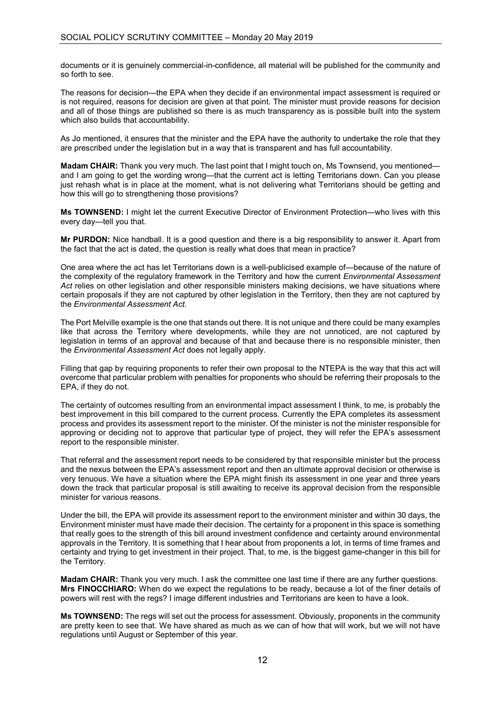documents or it is genuinely commercial-in-confidence, all material will be published for the community and so forth to see.

The reasons for decision—the EPA when they decide if an environmental impact assessment is required or is not required, reasons for decision are given at that point. The minister must provide reasons for decision and all of those things are published so there is as much transparency as is possible built into the system which also builds that accountability.

As Jo mentioned, it ensures that the minister and the EPA have the authority to undertake the role that they are prescribed under the legislation but in a way that is transparent and has full accountability.

**Madam CHAIR:** Thank you very much. The last point that I might touch on, Ms Townsend, you mentioned and I am going to get the wording wrong—that the current act is letting Territorians down. Can you please just rehash what is in place at the moment, what is not delivering what Territorians should be getting and how this will go to strengthening those provisions?

**Ms TOWNSEND:** I might let the current Executive Director of Environment Protection—who lives with this every day—tell you that.

**Mr PURDON:** Nice handball. It is a good question and there is a big responsibility to answer it. Apart from the fact that the act is dated, the question is really what does that mean in practice?

One area where the act has let Territorians down is a well-publicised example of—because of the nature of the complexity of the regulatory framework in the Territory and how the current *Environmental Assessment Act* relies on other legislation and other responsible ministers making decisions, we have situations where certain proposals if they are not captured by other legislation in the Territory, then they are not captured by the *Environmental Assessment Act.*

The Port Melville example is the one that stands out there. It is not unique and there could be many examples like that across the Territory where developments, while they are not unnoticed, are not captured by legislation in terms of an approval and because of that and because there is no responsible minister, then the *Environmental Assessment Act* does not legally apply.

Filling that gap by requiring proponents to refer their own proposal to the NTEPA is the way that this act will overcome that particular problem with penalties for proponents who should be referring their proposals to the EPA, if they do not.

The certainty of outcomes resulting from an environmental impact assessment I think, to me, is probably the best improvement in this bill compared to the current process. Currently the EPA completes its assessment process and provides its assessment report to the minister. Of the minister is not the minister responsible for approving or deciding not to approve that particular type of project, they will refer the EPA's assessment report to the responsible minister.

That referral and the assessment report needs to be considered by that responsible minister but the process and the nexus between the EPA's assessment report and then an ultimate approval decision or otherwise is very tenuous. We have a situation where the EPA might finish its assessment in one year and three years down the track that particular proposal is still awaiting to receive its approval decision from the responsible minister for various reasons.

Under the bill, the EPA will provide its assessment report to the environment minister and within 30 days, the Environment minister must have made their decision. The certainty for a proponent in this space is something that really goes to the strength of this bill around investment confidence and certainty around environmental approvals in the Territory. It is something that I hear about from proponents a lot, in terms of time frames and certainty and trying to get investment in their project. That, to me, is the biggest game-changer in this bill for the Territory.

**Madam CHAIR:** Thank you very much. I ask the committee one last time if there are any further questions. **Mrs FINOCCHIARO:** When do we expect the regulations to be ready, because a lot of the finer details of powers will rest with the regs? I image different industries and Territorians are keen to have a look.

**Ms TOWNSEND:** The regs will set out the process for assessment. Obviously, proponents in the community are pretty keen to see that. We have shared as much as we can of how that will work, but we will not have regulations until August or September of this year.